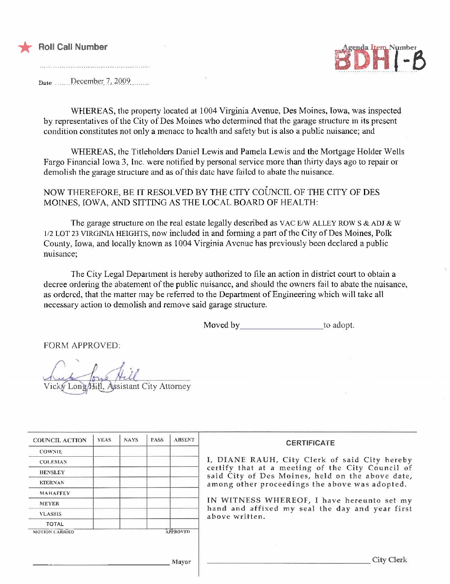

### Roll Call Number



Date ......\_l)eq:mber..7,)0:9.9..

WHEREAS, the property located at 1004 Virginia Avenue, Des Moines, Iowa, was inspected by representatives of the City of Des Moines who determined that the garage structure in its present condition constitutes not only a menace to health and safety but is also a public nuisance; and

WHEREAS, the Titleholders Daniel Lewis and Pamela Lewis and the Mortgage Holder Wells Fargo Financial Iowa 3, Inc. were notified by personal service more than thirty days ago to repair or demolish the garage structure and as of this date have failed to abate the nuisance.

- NOW THEREFORE, BE IT RESOLVED BY THE CITY COUNCIL OF THE CITY OF DES MOINES, IOWA, AND SITTING AS THE LOCAL BOARD OF HEALTH:

The garage structure on the real estate legally described as VAC E/W ALLEY ROW S & ADJ & W 1/2 LOT 23 VIRGINIA HEIGHTS, now included in and forming a part of the City of Des Moines, Polk County, Iowa, and locally known as 1004 Virginia Avenue has previously been declared a public nuisance;

The City Legal Department is hereby authorized to file an action in district court to obtain a decree ordering the abatement of the public nuisance, and should the owners fail to abate the nuisance, as ordered. that the matter may be referred to the Department of Engineering which will take all necessary action to demolish and remove said garage structure.

Moved by to adopt.

FORM APPROVED:

Vicky Long/Hill, Assistant City Attorney

| <b>COUNCIL ACTION</b> | <b>YEAS</b> | <b>NAYS</b> | <b>PASS</b> | <b>ABSENT</b>   | <b>CERTIFICATE</b>                                                                                                                                                                                                                                                        |  |  |  |
|-----------------------|-------------|-------------|-------------|-----------------|---------------------------------------------------------------------------------------------------------------------------------------------------------------------------------------------------------------------------------------------------------------------------|--|--|--|
| <b>COWNIE</b>         |             |             |             |                 |                                                                                                                                                                                                                                                                           |  |  |  |
| <b>COLEMAN</b>        |             |             |             |                 | I, DIANE RAUH, City Clerk of said City hereby                                                                                                                                                                                                                             |  |  |  |
| <b>HENSLEY</b>        |             |             |             |                 | certify that at a meeting of the City Council of<br>said City of Des Moines, held on the above date,<br>among other proceedings the above was adopted.<br>IN WITNESS WHEREOF, I have hereunto set my<br>hand and affixed my seal the day and year first<br>above written. |  |  |  |
| <b>KIERNAN</b>        |             |             |             |                 |                                                                                                                                                                                                                                                                           |  |  |  |
| <b>MAHAFFEY</b>       |             |             |             |                 |                                                                                                                                                                                                                                                                           |  |  |  |
| <b>MEYER</b>          |             |             |             |                 |                                                                                                                                                                                                                                                                           |  |  |  |
| <b>VLASSIS</b>        |             |             |             |                 |                                                                                                                                                                                                                                                                           |  |  |  |
| TOTAL                 |             |             |             |                 |                                                                                                                                                                                                                                                                           |  |  |  |
| <b>MOTION CARRIED</b> |             |             |             | <b>APPROVED</b> |                                                                                                                                                                                                                                                                           |  |  |  |
|                       |             |             |             |                 |                                                                                                                                                                                                                                                                           |  |  |  |
|                       |             |             |             |                 | City Clerk                                                                                                                                                                                                                                                                |  |  |  |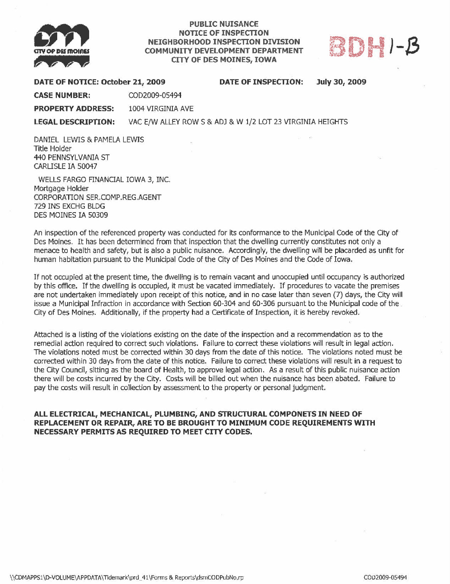

## PUBLIC NUISANCE NOTICE OF INSPECTON NEIGHBORHOOD INSPECTON DIVISION COMMUNITY DEVELOPMENT DEPARTMENT



#### DATE OF NOTICE: October 21, 2009 DATE OF INSPECTON: July 30, 2009

CASE NUMBER: COD2009-05494

PROPERTY ADDRESS: 1004 VIRGINIA AVE

LEGAL DESCRIPTION: VAC E/W ALLEY ROW S & ADJ & W 1/2 LOT 23 VIRGINIA HEIGHTS

DANIEL LEWIS & PAMELA LEWIS Title Holder 440 PENNSYLVANIA ST CARUSLE IA S0047

WELLS FARGO FINANCIAL IOWA 3, INC. Mortgage Holder CORPORATION SER.COMP.REG.AGENT 729 INS EXCHG BLDG DES MOINES 1A 50309

An inspection of the referenced property was conducted for its conformance to the Municipal Code of the City of Des Moines. It has been determined from that inspection that the dwelling currently constitutes not only a menace to health and safety, but is also a public nuisance. Accordingly, the dwellng will be placarded as unfit for human habitation pursuant to the Municipal Code of the City of Des Moines and the Code of Iowa,

If not ocupied at the present time, the dwelling is to remain vacant and unoccupied until occupancy is authorized by this offce. If the dwelling is occupied, it must be vacated immediately. If procedures to vacate the premises are not undertaken immediately upon receipt of this notice, and in no case later than seven (7) days, the City wil issue a Municipal Infraction in accordance with Section 60-304 and 60-306 pursuant to the Municipal code of the City of Des Moines. Additionally, if the property had a Certificate of Inspection, it is hereby revoked.

Attached is a listing of the violations existing on the date of the inspection and a recommendation as to the remedial action required to correct such violations. Failure to correct these violations will result in legal action. The violations noted must be correced within 30 days from the date of this notice. The violations noted must be corrected within 30 days from the date of this notice. Failure to correct these violations will result in a request to the City Council, sitting as the board of Health, to approve legal action. As a result of this public nuisance action there will be costs incurred by the City. Costs will be billed out when the nuisance has been abated. Failure to pay the costs will result in collection by assessment to the property or personal judgment.

#### ALL ELECTRICAL, MECHANICAL, PLUMBING, AND STRUCTURAL COMPONETS IN NEED OF REPLACEMENT OR REPAIR, ARE TO BE BROUGHT TO MINIMUM CODE REQUIREMENTS WITH NECESSARY PERMITS AS REQUIRED TO MEET CITY CODES,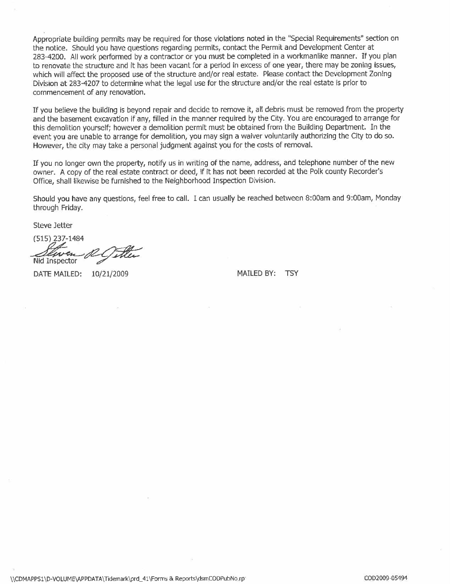Appropriate building permits may be required for those violations noted in the "Special Requirements" section on the notice. Should you have questions regarding permits, contact the Permit and Development Center at 283-4200. All work performed by a contractor or you must be completed in a workmanlike manner. If you plan to renovate the structure and it has been vacant for a period in excess of one year, there may be zoning issues, which will affect the proposed use of the structure and/or real estate. Please contact the Development Zoning Division at 283-4207 to determine what the legal use for the structure and/or the real estate is prior to commencement of any renovation.

If you believe the building is beyond repair and decide to remove it, all debris must be removed from the propert and the basement excavation if any, filted in the manner required by the City. You are encouraged to arrange for this demolition yourself; however a demolition permit must be obtained from the Building Department. In the event you are unable to arrange for demolition, you may sign a waiver voluntarily authorizing the City to do 50. However, the city may take a personal judgment against you for the costs of removaL.

If you no longer own the property, notify us in writing of the name, address, and telephone number of the new owner. A copy of the real estate contract or deed, if it has not been recorded at the Polk county Recorder's Office, shall likewise be furnished to the Neighborhood Inspection Division.

Should you have any questions, feel free to call. I can usually be reached between 8:00am and 9:00am, Monday through Friday.

Steve Jetter

(515) 237-1484<br> *Staven RC Titler*<br>
Nid Inspector 10/21/2009 MAILED BY: TSY

\\CDMAPPS1\D-VOLUME\APPDATA\Tidemark\prd\_41\Forms & Reports\dsmCODPubNo.rp COD COD COD COD2009-05494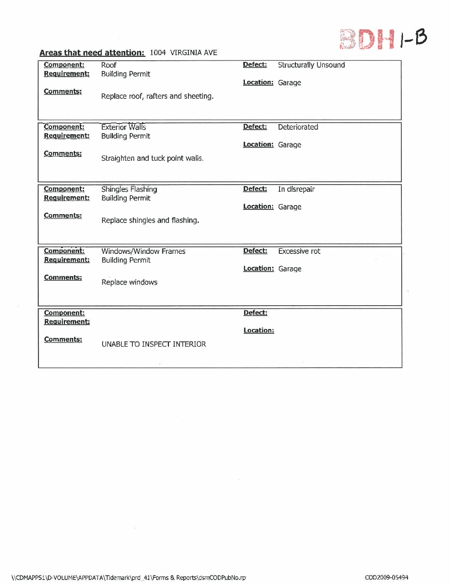

 $\frac{1}{10}$ 

# Areas that need attention: 1004 VIRGINIA AVE

| Component:                        | Roof                                            | Defect:          | <b>Structurally Unsound</b> |
|-----------------------------------|-------------------------------------------------|------------------|-----------------------------|
| <b>Requirement:</b>               | <b>Building Permit</b>                          | Location: Garage |                             |
| <b>Comments:</b>                  | Replace roof, rafters and sheeting.             |                  |                             |
|                                   |                                                 |                  |                             |
|                                   |                                                 |                  |                             |
| Component:<br><b>Requirement:</b> | <b>Exterior Walls</b><br><b>Building Permit</b> | Defect:          | Deteriorated                |
|                                   |                                                 | Location: Garage |                             |
| Comments:                         | Straighten and tuck point walls.                |                  |                             |
|                                   |                                                 |                  |                             |
|                                   |                                                 |                  |                             |
| Component:<br><b>Requirement:</b> | Shingles Flashing<br><b>Building Permit</b>     | Defect:          | In disrepair                |
|                                   |                                                 | Location: Garage |                             |
| <b>Comments:</b>                  | Replace shingles and flashing.                  |                  |                             |
|                                   |                                                 |                  |                             |
| <b>Component:</b>                 | Windows/Window Frames                           | Defect:          | Excessive rot               |
| Requirement:                      | <b>Building Permit</b>                          |                  |                             |
|                                   |                                                 | Location: Garage |                             |
| <b>Comments:</b>                  | Replace windows                                 |                  |                             |
|                                   |                                                 |                  |                             |
| Component:                        |                                                 | Defect:          |                             |
| <b>Requirement:</b>               |                                                 |                  |                             |
| <b>Comments:</b>                  |                                                 | Location:        |                             |
|                                   | UNABLE TO INSPECT INTERIOR                      |                  |                             |
|                                   |                                                 |                  |                             |

- 23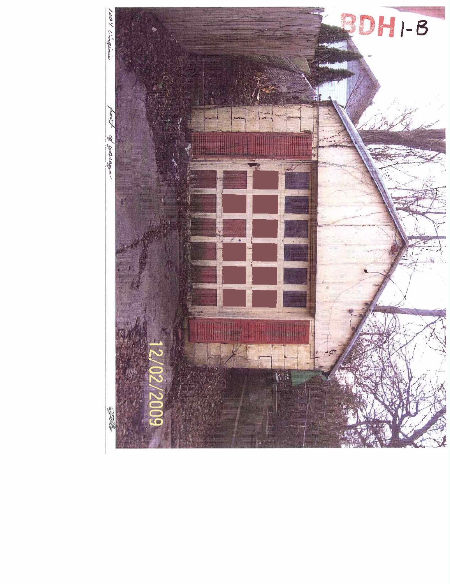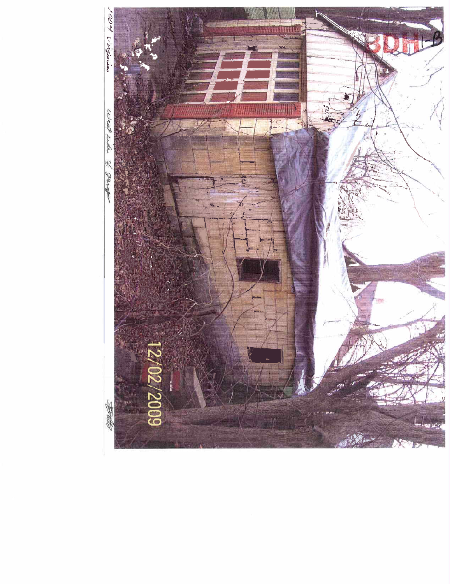